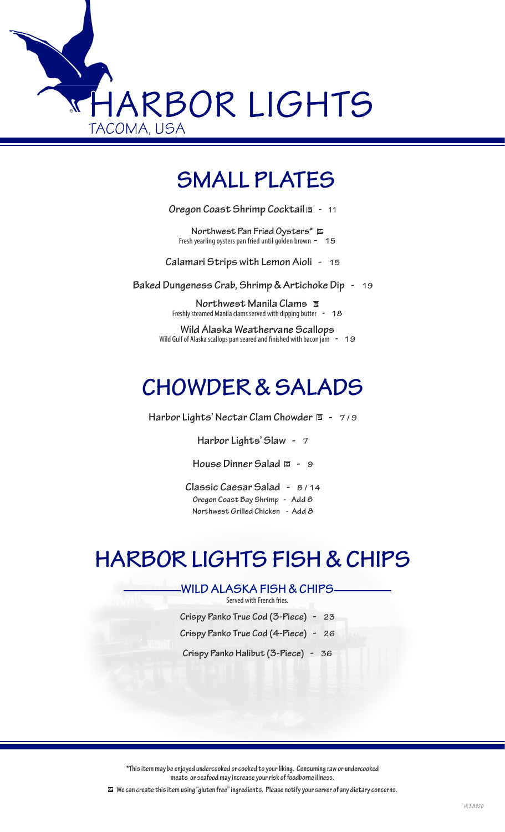

## **SMALL PLATES**

**Oregon Coast Shrimp Cocktail - 11**

**Northwest Pan Fried Oysters\***  $\overline{\omega}$ <br>Fresh yearling oysters pan fried until golden brown **-** 15

**Calamari Strips with Lemon Aioli - 15**

**Baked Dungeness Crab, Shrimp & Artichoke Dip - 19**

**Northwest Manila Clams & Freshly steamed Manila clams served with dipping butter - 18** 

**Wild Alaska Weathervane Scallops** Wild Gulf of Alaska scallops pan seared and finished with bacon jam **- 19**

## **CHOWDER & SALADS**

**Harbor Lights' Nectar Clam Chowder**  $\overline{a}$  **- 7/9** 

**Harbor Lights' Slaw - 7**

House Dinner Salad **a** - 9

**Classic Caesar Salad - 8 / 14 Oregon Coast Bay Shrimp - Add 8 Northwest Grilled Chicken - Add 8**

## **HARBOR LIGHTS FISH & CHIPS**

#### **WILD ALASKA FISH & CHIPS**

Served with French fries.

**Crispy Panko True Cod (3-Piece) - 23**

**Crispy Panko True Cod (4-Piece) - 26**

**Crispy Panko Halibut (3-Piece) - 36**

**\*This item may be enjoyed undercooked or cooked to your liking. Consuming raw or undercooked meats or seafood may increase your risk of foodborne illness.**

 **We can create this item using "gluten free" ingredients. Please notify your server of any dietary concerns.**